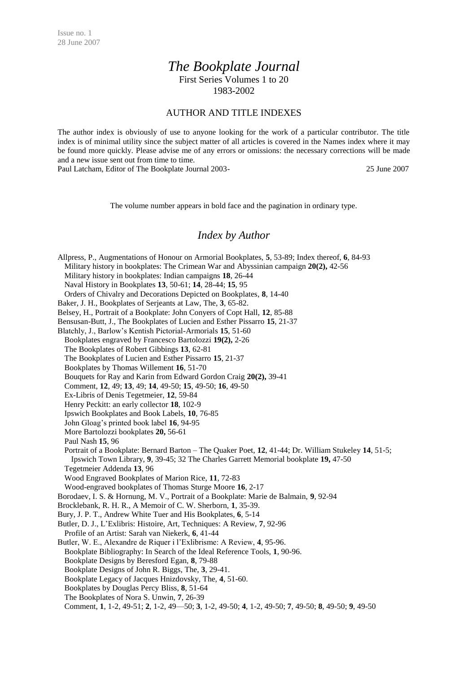## *The Bookplate Journal*

First Series Volumes 1 to 20 1983-2002

## AUTHOR AND TITLE INDEXES

The author index is obviously of use to anyone looking for the work of a particular contributor. The title index is of minimal utility since the subject matter of all articles is covered in the Names index where it may be found more quickly. Please advise me of any errors or omissions: the necessary corrections will be made and a new issue sent out from time to time.

Paul Latcham, Editor of The Bookplate Journal 2003- 25 June 2007

The volume number appears in bold face and the pagination in ordinary type.

## *Index by Author*

Allpress, P., Augmentations of Honour on Armorial Bookplates, **5**, 53-89; Index thereof, **6**, 84-93 Military history in bookplates: The Crimean War and Abyssinian campaign **20(2),** 42-56 Military history in bookplates: Indian campaigns **18**, 26-44 Naval History in Bookplates **13**, 50-61; **14**, 28-44; **15**, 95 Orders of Chivalry and Decorations Depicted on Bookplates, **8**, 14-40 Baker, J. H., Bookplates of Serjeants at Law, The, **3**, 65-82. Belsey, H., Portrait of a Bookplate: John Conyers of Copt Hall, **12**, 85-88 Bensusan-Butt, J., The Bookplates of Lucien and Esther Pissarro **15**, 21-37 Blatchly, J., Barlow's Kentish Pictorial-Armorials **15**, 51-60 Bookplates engraved by Francesco Bartolozzi **19(2),** 2-26 The Bookplates of Robert Gibbings **13**, 62-81 The Bookplates of Lucien and Esther Pissarro **15**, 21-37 Bookplates by Thomas Willement **16**, 51-70 Bouquets for Ray and Karin from Edward Gordon Craig **20(2),** 39-41 Comment, **12**, 49; **13**, 49; **14**, 49-50; **15**, 49-50; **16**, 49-50 Ex-Libris of Denis Tegetmeier, **12**, 59-84 Henry Peckitt: an early collector **18**, 102-9 Ipswich Bookplates and Book Labels, **10**, 76-85 John Gloag's printed book label **16**, 94-95 More Bartolozzi bookplates **20,** 56-61 Paul Nash **15**, 96 Portrait of a Bookplate: Bernard Barton – The Quaker Poet, **12**, 41-44; Dr. William Stukeley **14**, 51-5; Ipswich Town Library, **9**, 39-45; 32 The Charles Garrett Memorial bookplate **19,** 47-50 Tegetmeier Addenda **13**, 96 Wood Engraved Bookplates of Marion Rice, **11**, 72-83 Wood-engraved bookplates of Thomas Sturge Moore **16**, 2-17 Borodaev, I. S. & Hornung, M. V., Portrait of a Bookplate: Marie de Balmain, **9**, 92-94 Brocklebank, R. H. R., A Memoir of C. W. Sherborn, **1**, 35-39. Bury, J. P. T., Andrew White Tuer and His Bookplates, **6**, 5-14 Butler, D. J., L'Exlibris: Histoire, Art, Techniques: A Review, **7**, 92-96 Profile of an Artist: Sarah van Niekerk, **6**, 41-44 Butler, W. E., Alexandre de Riquer i l'Exlibrisme: A Review, **4**, 95-96. Bookplate Bibliography: In Search of the Ideal Reference Tools, **1**, 90-96. Bookplate Designs by Beresford Egan, **8**, 79-88 Bookplate Designs of John R. Biggs, The, **3**, 29-41. Bookplate Legacy of Jacques Hnizdovsky, The, **4**, 51-60. Bookplates by Douglas Percy Bliss, **8**, 51-64 The Bookplates of Nora S. Unwin, **7**, 26-39 Comment, **1**, 1-2, 49-51; **2**, 1-2, 49—50; **3**, 1-2, 49-50; **4**, 1-2, 49-50; **7**, 49-50; **8**, 49-50; **9**, 49-50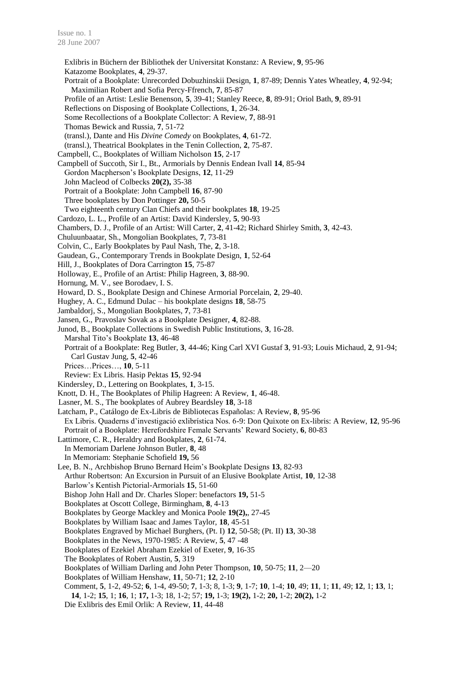Exlibris in Büchern der Bibliothek der Universitat Konstanz: A Review, **9**, 95-96 Katazome Bookplates, **4**, 29-37. Portrait of a Bookplate: Unrecorded Dobuzhinskii Design, **1**, 87-89; Dennis Yates Wheatley, **4**, 92-94; Maximilian Robert and Sofia Percy-Ffrench, **7**, 85-87 Profile of an Artist: Leslie Benenson, **5**, 39-41; Stanley Reece, **8**, 89-91; Oriol Bath, **9**, 89-91 Reflections on Disposing of Bookplate Collections, **1**, 26-34. Some Recollections of a Bookplate Collector: A Review, **7**, 88-91 Thomas Bewick and Russia, **7**, 51-72 (transl.), Dante and His *Divine Comedy* on Bookplates, **4**, 61-72. (transl.), Theatrical Bookplates in the Tenin Collection, **2**, 75-87. Campbell, C., Bookplates of William Nicholson **15**, 2-17 Campbell of Succoth, Sir I., Bt., Armorials by Dennis Endean Ivall **14**, 85-94 Gordon Macpherson's Bookplate Designs, **12**, 11-29 John Macleod of Colbecks **20(2),** 35-38 Portrait of a Bookplate: John Campbell **16**, 87-90 Three bookplates by Don Pottinger **20,** 50-5 Two eighteenth century Clan Chiefs and their bookplates **18**, 19-25 Cardozo, L. L., Profile of an Artist: David Kindersley, **5**, 90-93 Chambers, D. J., Profile of an Artist: Will Carter, **2**, 41-42; Richard Shirley Smith, **3**, 42-43. Chuluunbaatar, Sh., Mongolian Bookplates, **7**, 73-81 Colvin, C., Early Bookplates by Paul Nash, The, **2**, 3-18. Gaudean, G., Contemporary Trends in Bookplate Design, **1**, 52-64 Hill, J., Bookplates of Dora Carrington **15**, 75-87 Holloway, E., Profile of an Artist: Philip Hagreen, **3**, 88-90. Hornung, M. V., see Borodaev, I. S. Howard, D. S., Bookplate Design and Chinese Armorial Porcelain, **2**, 29-40. Hughey, A. C., Edmund Dulac – his bookplate designs **18**, 58-75 Jambaldorj, S., Mongolian Bookplates, **7**, 73-81 Jansen, G., Pravoslav Sovak as a Bookplate Designer, **4**, 82-88. Junod, B., Bookplate Collections in Swedish Public Institutions, **3**, 16-28. Marshal Tito's Bookplate **13**, 46-48 Portrait of a Bookplate: Reg Butler, **3**, 44-46; King Carl XVI Gustaf **3**, 91-93; Louis Michaud, **2**, 91-94; Carl Gustav Jung, **5**, 42-46 Prices…Prices…, **10**, 5-11 Review: Ex Libris. Hasip Pektas **15**, 92-94 Kindersley, D., Lettering on Bookplates, **1**, 3-15. Knott, D. H., The Bookplates of Philip Hagreen: A Review, **1**, 46-48. Lasner, M. S., The bookplates of Aubrey Beardsley **18**, 3-18 Latcham, P., Catálogo de Ex-Libris de Bibliotecas Españolas: A Review, **8**, 95-96 Ex Libris. Quaderns d'investigació exlibrística Nos. 6-9: Don Quixote on Ex-libris: A Review, **12**, 95-96 Portrait of a Bookplate: Herefordshire Female Servants' Reward Society, **6**, 80-83 Lattimore, C. R., Heraldry and Bookplates, **2**, 61-74. In Memoriam Darlene Johnson Butler, **8**, 48 In Memoriam: Stephanie Schofield **19,** 56 Lee, B. N., Archbishop Bruno Bernard Heim's Bookplate Designs **13**, 82-93 Arthur Robertson: An Excursion in Pursuit of an Elusive Bookplate Artist, **10**, 12-38 Barlow's Kentish Pictorial-Armorials **15**, 51-60 Bishop John Hall and Dr. Charles Sloper: benefactors **19,** 51-5 Bookplates at Oscott College, Birmingham, **8**, 4-13 Bookplates by George Mackley and Monica Poole **19(2),**, 27-45 Bookplates by William Isaac and James Taylor, **18**, 45-51 Bookplates Engraved by Michael Burghers, (Pt. I) **12**, 50-58; (Pt. II) **13**, 30-38 Bookplates in the News, 1970-1985: A Review, **5**, 47 -48 Bookplates of Ezekiel Abraham Ezekiel of Exeter, **9**, 16-35 The Bookplates of Robert Austin, **5**, 319 Bookplates of William Darling and John Peter Thompson, **10**, 50-75; **11**, 2—20 Bookplates of William Henshaw, **11**, 50-71; **12**, 2-10 Comment, **5**, 1-2, 49-52; **6**, 1-4, 49-50; **7**, 1-3; 8, 1-3; **9**, 1-7; **10**, 1-4; **10**, 49; **11**, 1; **11**, 49; **12**, 1; **13**, 1; **14**, 1-2; **15**, 1; **16**, 1; **17,** 1-3; 18, 1-2; 57; **19,** 1-3; **19(2),** 1-2; **20,** 1-2; **20(2),** 1-2 Die Exlibris des Emil Orlik: A Review, **11**, 44-48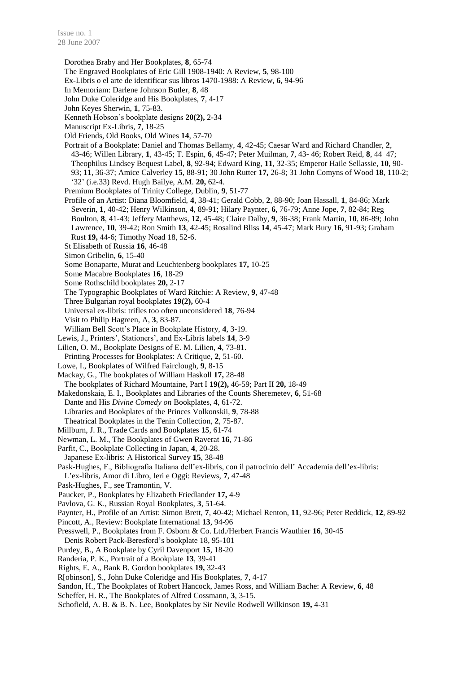Dorothea Braby and Her Bookplates, **8**, 65-74

- The Engraved Bookplates of Eric Gill 1908-1940: A Review, **5**, 98-100
- Ex-Libris o el arte de identificar sus libros 1470-1988: A Review, **6**, 94-96
- In Memoriam: Darlene Johnson Butler, **8**, 48
- John Duke Coleridge and His Bookplates, **7**, 4-17
- John Keyes Sherwin, **1**, 75-83.
- Kenneth Hobson's bookplate designs **20(2),** 2-34
- Manuscript Ex-Libris, **7**, 18-25
- Old Friends, Old Books, Old Wines **14**, 57-70
- Portrait of a Bookplate: Daniel and Thomas Bellamy, **4**, 42-45; Caesar Ward and Richard Chandler, **2**, 43-46; Willen Library, **1**, 43-45; T. Espin, **6**, 45-47; Peter Muilman, **7**, 43- 46; Robert Reid, **8**, 44 47; Theophilus Lindsey Bequest Label, **8**, 92-94; Edward King, **11**, 32-35; Emperor Haile Sellassie, **10**, 90- 93; **11**, 36-37; Amice Calverley **15**, 88-91; 30 John Rutter **17,** 26-8; 31 John Comyns of Wood **18**, 110-2; '32' (i.e.33) Revd. Hugh Bailye, A.M. **20,** 62-4.
- Premium Bookplates of Trinity College, Dublin, **9**, 51-77
- Profile of an Artist: Diana Bloomfield, **4**, 38-41; Gerald Cobb, **2**, 88-90; Joan Hassall, **1**, 84-86; Mark Severin, **1**, 40-42; Henry Wilkinson, **4**, 89-91; Hilary Paynter, **6**, 76-79; Anne Jope, **7**, 82-84; Reg Boulton, **8**, 41-43; Jeffery Matthews, **12**, 45-48; Claire Dalby, **9**, 36-38; Frank Martin, **10**, 86-89; John Lawrence, **10**, 39-42; Ron Smith **13**, 42-45; Rosalind Bliss **14**, 45-47; Mark Bury **16**, 91-93; Graham Rust **19,** 44-6; Timothy Noad 18, 52-6.
- St Elisabeth of Russia **16**, 46-48
- Simon Gribelin, **6**, 15-40
- Some Bonaparte, Murat and Leuchtenberg bookplates **17,** 10-25
- Some Macabre Bookplates **16**, 18-29
- Some Rothschild bookplates **20,** 2-17
- The Typographic Bookplates of Ward Ritchie: A Review, **9**, 47-48
- Three Bulgarian royal bookplates **19(2),** 60-4
- Universal ex-libris: trifles too often unconsidered **18**, 76-94
- Visit to Philip Hagreen, A, **3**, 83-87.
- William Bell Scott's Place in Bookplate History, **4**, 3-19.
- Lewis, J., Printers', Stationers', and Ex-Libris labels **14**, 3-9
- Lilien, O. M., Bookplate Designs of E. M. Lilien, **4**, 73-81. Printing Processes for Bookplates: A Critique, **2**, 51-60.
- Lowe, I., Bookplates of Wilfred Fairclough, **9**, 8-15
- Mackay, G., The bookplates of William Haskoll **17,** 28-48 The bookplates of Richard Mountaine, Part I **19(2),** 46-59; Part II **20,** 18-49
- Makedonskaia, E. I., Bookplates and Libraries of the Counts Sheremetev, **6**, 51-68
- Dante and His *Divine Comedy on* Bookplates, **4**, 61-72. Libraries and Bookplates of the Princes Volkonskii, **9**, 78-88
- Theatrical Bookplates in the Tenin Collection, **2**, 75-87.
- 
- Millburn, J. R., Trade Cards and Bookplates **15**, 61-74
- Newman, L. M., The Bookplates of Gwen Raverat **16**, 71-86
- Parfit, C., Bookplate Collecting in Japan, **4**, 20-28.
- Japanese Ex-libris: A Historical Survey **15**, 38-48

Pask-Hughes, F., Bibliografia Italiana dell'ex-libris, con il patrocinio dell' Accademia dell'ex-libris: L'ex-libris, Amor di Libro, Ieri e Oggi: Reviews, **7**, 47-48

- Pask-Hughes, F., see Tramontin, V.
- Paucker, P., Bookplates by Elizabeth Friedlander **17,** 4-9
- Pavlova, G. K., Russian Royal Bookplates, **3**, 51-64.
- Paynter, H., Profile of an Artist: Simon Brett, **7**, 40-42; Michael Renton, **11**, 92-96; Peter Reddick, **12**, 89-92
- Pincott, A., Review: Bookplate International **13**, 94-96
- Presswell, P., Bookplates from F. Osborn & Co. Ltd./Herbert Francis Wauthier **16**, 30-45
- Denis Robert Pack-Beresford's bookplate 18, 95-101
- Purdey, B., A Bookplate by Cyril Davenport **15**, 18-20
- Randeria, P. K., Portrait of a Bookplate **13**, 39-41
- Rights, E. A., Bank B. Gordon bookplates **19,** 32-43
- R[obinson], S., John Duke Coleridge and His Bookplates, **7**, 4-17
- Sandon, H., The Bookplates of Robert Hancock, James Ross, and William Bache: A Review, **6**, 48
- Scheffer, H. R., The Bookplates of Alfred Cossmann, **3**, 3-15.
- Schofield, A. B. & B. N. Lee, Bookplates by Sir Nevile Rodwell Wilkinson **19,** 4-31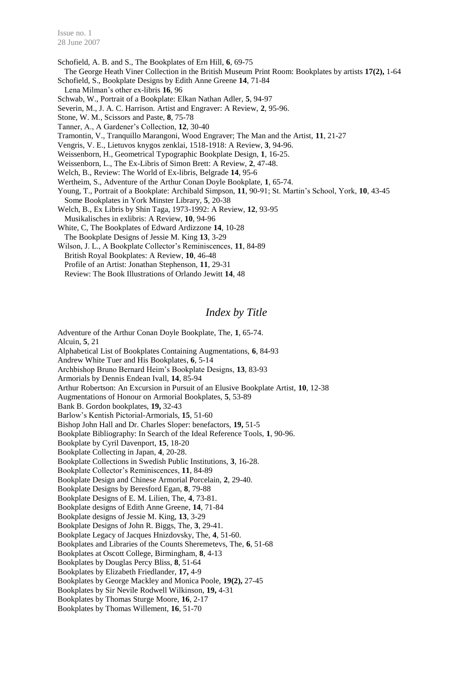Schofield, A. B. and S., The Bookplates of Ern Hill, **6**, 69-75

The George Heath Viner Collection in the British Museum Print Room: Bookplates by artists **17(2),** 1-64 Schofield, S., Bookplate Designs by Edith Anne Greene **14**, 71-84

Lena Milman's other ex-libris **16**, 96

Schwab, W., Portrait of a Bookplate: Elkan Nathan Adler, **5**, 94-97

Severin, M., J. A. C. Harrison. Artist and Engraver: A Review, **2**, 95-96.

Stone, W. M., Scissors and Paste, **8**, 75-78

Tanner, A., A Gardener's Collection, **12**, 30-40

Tramontin, V., Tranquillo Marangoni, Wood Engraver; The Man and the Artist, **11**, 21-27

Vengris, V. E., Lietuvos knygos zenklai, 1518-1918: A Review, **3**, 94-96.

Weissenborn, H., Geometrical Typographic Bookplate Design, **1**, 16-25.

Weissenborn, L., The Ex-Libris of Simon Brett: A Review, **2**, 47-48.

Welch, B., Review: The World of Ex-libris, Belgrade **14**, 95-6

Wertheim, S., Adventure of the Arthur Conan Doyle Bookplate, **1**, 65-74.

Young, T., Portrait of a Bookplate: Archibald Simpson, **11**, 90-91; St. Martin's School, York, **10**, 43-45 Some Bookplates in York Minster Library, **5**, 20-38

Welch, B., Ex Libris by Shin Taga, 1973-1992: A Review, **12**, 93-95 Musikalisches in exlibris: A Review, **10**, 94-96

White, C, The Bookplates of Edward Ardizzone **14**, 10-28 The Bookplate Designs of Jessie M. King **13**, 3-29

Wilson, J. L., A Bookplate Collector's Reminiscences, **11**, 84-89 British Royal Bookplates: A Review, **10**, 46-48 Profile of an Artist: Jonathan Stephenson, **11**, 29-31 Review: The Book Illustrations of Orlando Jewitt **14**, 48

## *Index by Title*

Adventure of the Arthur Conan Doyle Bookplate, The, **1**, 65-74. Alcuin, **5**, 21 Alphabetical List of Bookplates Containing Augmentations, **6**, 84-93 Andrew White Tuer and His Bookplates, **6**, 5-14 Archbishop Bruno Bernard Heim's Bookplate Designs, **13**, 83-93 Armorials by Dennis Endean Ivall, **14**, 85-94 Arthur Robertson: An Excursion in Pursuit of an Elusive Bookplate Artist, **10**, 12-38 Augmentations of Honour on Armorial Bookplates, **5**, 53-89 Bank B. Gordon bookplates, **19,** 32-43 Barlow's Kentish Pictorial-Armorials, **15**, 51-60 Bishop John Hall and Dr. Charles Sloper: benefactors, **19,** 51-5 Bookplate Bibliography: In Search of the Ideal Reference Tools, **1**, 90-96. Bookplate by Cyril Davenport, **15**, 18-20 Bookplate Collecting in Japan, **4**, 20-28. Bookplate Collections in Swedish Public Institutions, **3**, 16-28. Bookplate Collector's Reminiscences, **11**, 84-89 Bookplate Design and Chinese Armorial Porcelain, **2**, 29-40. Bookplate Designs by Beresford Egan, **8**, 79-88 Bookplate Designs of E. M. Lilien, The, **4**, 73-81. Bookplate designs of Edith Anne Greene, **14**, 71-84 Bookplate designs of Jessie M. King, **13**, 3-29 Bookplate Designs of John R. Biggs, The, **3**, 29-41. Bookplate Legacy of Jacques Hnizdovsky, The, **4**, 51-60. Bookplates and Libraries of the Counts Sheremetevs, The, **6**, 51-68 Bookplates at Oscott College, Birmingham, **8**, 4-13 Bookplates by Douglas Percy Bliss, **8**, 51-64 Bookplates by Elizabeth Friedlander, **17,** 4-9 Bookplates by George Mackley and Monica Poole, **19(2),** 27-45 Bookplates by Sir Nevile Rodwell Wilkinson, **19,** 4-31 Bookplates by Thomas Sturge Moore, **16**, 2-17 Bookplates by Thomas Willement, **16**, 51-70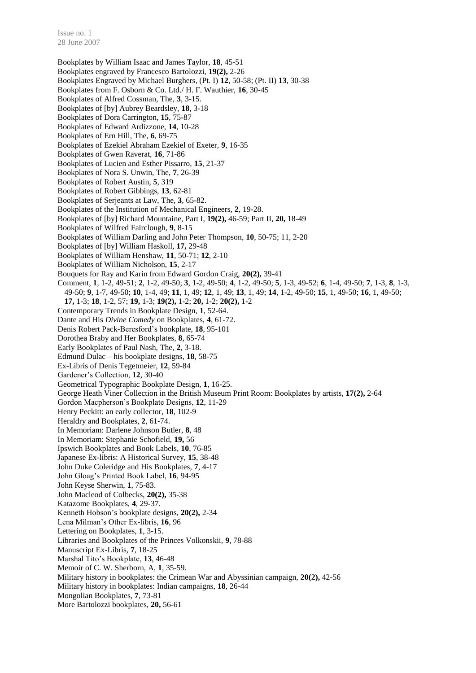Issue no. 1 28 June 2007

Bookplates by William Isaac and James Taylor, **18**, 45-51 Bookplates engraved by Francesco Bartolozzi, **19(2),** 2-26 Bookplates Engraved by Michael Burghers, (Pt. I) **12**, 50-58; (Pt. II) **13**, 30-38 Bookplates from F. Osborn & Co. Ltd./ H. F. Wauthier, **16**, 30-45 Bookplates of Alfred Cossman, The, **3**, 3-15. Bookplates of [by] Aubrey Beardsley, **18**, 3-18 Bookplates of Dora Carrington, **15**, 75-87 Bookplates of Edward Ardizzone, **14**, 10-28 Bookplates of Ern Hill, The, **6**, 69-75 Bookplates of Ezekiel Abraham Ezekiel of Exeter, **9**, 16-35 Bookplates of Gwen Raverat, **16**, 71-86 Bookplates of Lucien and Esther Pissarro, **15**, 21-37 Bookplates of Nora S. Unwin, The, **7**, 26-39 Bookplates of Robert Austin, **5**, 319 Bookplates of Robert Gibbings, **13**, 62-81 Bookplates of Serjeants at Law, The, **3**, 65-82. Bookplates of the Institution of Mechanical Engineers, **2**, 19-28. Bookplates of [by] Richard Mountaine, Part I, **19(2),** 46-59; Part II, **20,** 18-49 Bookplates of Wilfred Fairclough, **9**, 8-15 Bookplates of William Darling and John Peter Thompson, **10**, 50-75; 11, 2-20 Bookplates of [by] William Haskoll, **17,** 29-48 Bookplates of William Henshaw, **11**, 50-71; **12**, 2-10 Bookplates of William Nicholson, **15**, 2-17 Bouquets for Ray and Karin from Edward Gordon Craig, **20(2),** 39-41 Comment, **1**, 1-2, 49-51; **2**, 1-2, 49-50; **3**, 1-2, 49-50; **4**, 1-2, 49-50; **5**, 1-3, 49-52; **6**, 1-4, 49-50; **7**, 1-3, **8**, 1-3, 49-50; **9**, 1-7, 49-50; **10**, 1-4, 49; **11**, 1, 49; **12**, 1, 49; **13**, 1, 49; **14**, 1-2, 49-50; **15**, 1, 49-50; **16**, 1, 49-50; **17,** 1-3; **18**, 1-2, 57; **19,** 1-3; **19(2),** 1-2; **20,** 1-2; **20(2),** 1-2 Contemporary Trends in Bookplate Design, **1**, 52-64. Dante and His *Divine Comedy* on Bookplates, **4**, 61-72. Denis Robert Pack-Beresford's bookplate, **18**, 95-101 Dorothea Braby and Her Bookplates, **8**, 65-74 Early Bookplates of Paul Nash, The, **2**, 3-18. Edmund Dulac – his bookplate designs, **18**, 58-75 Ex-Libris of Denis Tegetmeier, **12**, 59-84 Gardener's Collection, **12**, 30-40 Geometrical Typographic Bookplate Design, **1**, 16-25. George Heath Viner Collection in the British Museum Print Room: Bookplates by artists, **17(2),** 2-64 Gordon Macpherson's Bookplate Designs, **12**, 11-29 Henry Peckitt: an early collector, **18**, 102-9 Heraldry and Bookplates, **2**, 61-74. In Memoriam: Darlene Johnson Butler, **8**, 48 In Memoriam: Stephanie Schofield, **19,** 56 Ipswich Bookplates and Book Labels, **10**, 76-85 Japanese Ex-libris: A Historical Survey, **15**, 38-48 John Duke Coleridge and His Bookplates, **7**, 4-17 John Gloag's Printed Book Label, **16**, 94-95 John Keyse Sherwin, **1**, 75-83. John Macleod of Colbecks, **20(2),** 35-38 Katazome Bookplates, **4**, 29-37. Kenneth Hobson's bookplate designs, **20(2),** 2-34 Lena Milman's Other Ex-libris, **16**, 96 Lettering on Bookplates, **1**, 3-15. Libraries and Bookplates of the Princes Volkonskii, **9**, 78-88 Manuscript Ex-Libris, **7**, 18-25 Marshal Tito's Bookplate, **13**, 46-48 Memoir of C. W. Sherborn, A, **1**, 35-59. Military history in bookplates: the Crimean War and Abyssinian campaign, **20(2),** 42-56 Military history in bookplates: Indian campaigns, **18**, 26-44 Mongolian Bookplates, **7**, 73-81 More Bartolozzi bookplates, **20,** 56-61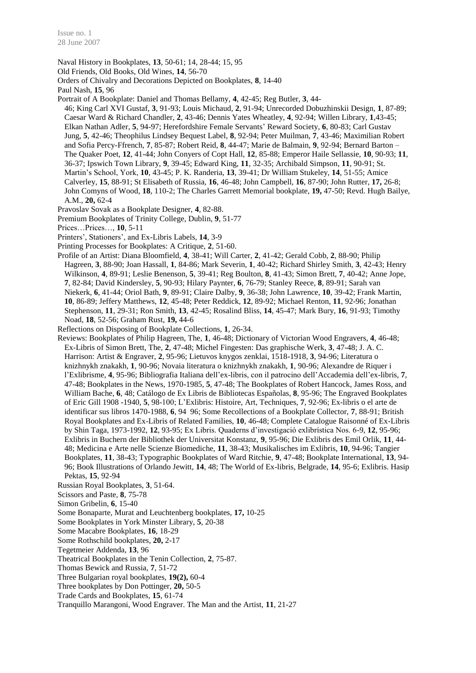Naval History in Bookplates, **13**, 50-61; 14, 28-44; 15, 95 Old Friends, Old Books, Old Wines, **14**, 56-70 Orders of Chivalry and Decorations Depicted on Bookplates, **8**, 14-40 Paul Nash, **15**, 96 Portrait of A Bookplate: Daniel and Thomas Bellamy, **4**, 42-45; Reg Butler, **3**, 44- 46; King Carl XVI Gustaf, **3**, 91-93; Louis Michaud, **2**, 91-94; Unrecorded Dobuzhinskii Design, **1**, 87-89; Caesar Ward & Richard Chandler, **2**, 43-46; Dennis Yates Wheatley, **4**, 92-94; Willen Library, **1**,43-45; Elkan Nathan Adler, **5**, 94-97; Herefordshire Female Servants' Reward Society, **6**, 80-83; Carl Gustav Jung, **5**, 42-46; Theophilus Lindsey Bequest Label, **8**, 92-94; Peter Muilman, **7**, 43-46; Maximilian Robert and Sofia Percy-Ffrench, **7**, 85-87; Robert Reid, **8**, 44-47; Marie de Balmain, **9**, 92-94; Bernard Barton – The Quaker Poet, **12**, 41-44; John Conyers of Copt Hall, **12**, 85-88; Emperor Haile Sellassie, **10**, 90-93; **11**, 36-37; Ipswich Town Library, **9**, 39-45; Edward King, **11**, 32-35; Archibald Simpson, **11**, 90-91; St. Martin's School, York, **10**, 43-45; P. K. Randeria, **13**, 39-41; Dr William Stukeley, **14**, 51-55; Amice Calverley, **15**, 88-91; St Elisabeth of Russia, **16**, 46-48; John Campbell, **16**, 87-90; John Rutter, **17,** 26-8; John Comyns of Wood, **18**, 110-2; The Charles Garrett Memorial bookplate, **19,** 47-50; Revd. Hugh Bailye, A.M., **20,** 62-4

- Pravoslav Sovak as a Bookplate Designer, **4**, 82-88.
- Premium Bookplates of Trinity College, Dublin, **9**, 51-77
- Prices…Prices…, **10**, 5-11
- Printers', Stationers', and Ex-Libris Labels, **14**, 3-9
- Printing Processes for Bookplates: A Critique, **2**, 51-60.
- Profile of an Artist: Diana Bloomfield, **4**, 38-41; Will Carter, **2**, 41-42; Gerald Cobb, **2**, 88-90; Philip Hagreen, **3**, 88-90; Joan Hassall, **1**, 84-86; Mark Severin, **1**, 40-42; Richard Shirley Smith, **3**, 42-43; Henry Wilkinson, **4**, 89-91; Leslie Benenson, **5**, 39-41; Reg Boulton, **8**, 41-43; Simon Brett, **7**, 40-42; Anne Jope, **7**, 82-84; David Kindersley, **5**, 90-93; Hilary Paynter, **6**, 76-79; Stanley Reece, **8**, 89-91; Sarah van Niekerk, **6**, 41-44; Oriol Bath, **9**, 89-91; Claire Dalby, **9**, 36-38; John Lawrence, **10**, 39-42; Frank Martin, **10**, 86-89; Jeffery Matthews, **12**, 45-48; Peter Reddick, **12**, 89-92; Michael Renton, **11**, 92-96; Jonathan Stephenson, **11**, 29-31; Ron Smith, **13**, 42-45; Rosalind Bliss, **14**, 45-47; Mark Bury, **16**, 91-93; Timothy Noad, **18**, 52-56; Graham Rust, **19,** 44-6
- Reflections on Disposing of Bookplate Collections, **1**, 26-34.
- Reviews: Bookplates of Philip Hagreen, The, **1**, 46-48; Dictionary of Victorian Wood Engravers, **4**, 46-48; Ex-Libris of Simon Brett, The, **2**, 47-48; Michel Fingesten: Das graphische Werk, **3**, 47-48; J. A. C. Harrison: Artist & Engraver, **2**, 95-96; Lietuvos knygos zenklai, 1518-1918, **3**, 94-96; Literatura o knizhnykh znakakh, **1**, 90-96; Novaia literatura o knizhnykh znakakh, **1**, 90-96; Alexandre de Riquer i l'Exlibrisme, **4**, 95-96; Bibliografia Italiana dell'ex-libris, con il patrocino dell'Accademia dell'ex-libris, **7**, 47-48; Bookplates in the News, 1970-1985, **5**, 47-48; The Bookplates of Robert Hancock, James Ross, and William Bache, **6**, 48; Catálogo de Ex Libris de Bibliotecas Españolas, **8**, 95-96; The Engraved Bookplates of Eric Gill 1908 -1940, **5**, 98-100; L'Exlibris: Histoire, Art, Techniques, **7**, 92-96; Ex-libris o el arte de identificar sus libros 1470-1988, **6**, 94 96; Some Recollections of a Bookplate Collector, **7**, 88-91; British Royal Bookplates and Ex-Libris of Related Families, **10**, 46-48; Complete Catalogue Raisonné of Ex-Libris by Shin Taga, 1973-1992, **12**, 93-95; Ex Libris. Quaderns d'investigació exlibrística Nos. 6-9, **12**, 95-96; Exlibris in Buchern der Bibliothek der Universitat Konstanz, **9**, 95-96; Die Exlibris des Emil Orlik, **11**, 44- 48; Medicina e Arte nelle Scienze Biomediche, **11**, 38-43; Musikalisches im Exlibris, **10**, 94-96; Tangier Bookplates, **11**, 38-43; Typographic Bookplates of Ward Ritchie, **9**, 47-48; Bookplate International, **13**, 94- 96; Book Illustrations of Orlando Jewitt, **14**, 48; The World of Ex-libris, Belgrade, **14**, 95-6; Exlibris. Hasip Pektas, **15**, 92-94
- Russian Royal Bookplates, **3**, 51-64.
- Scissors and Paste, **8**, 75-78
- Simon Gribelin, **6**, 15-40
- Some Bonaparte, Murat and Leuchtenberg bookplates, **17,** 10-25
- Some Bookplates in York Minster Library, **5**, 20-38
- Some Macabre Bookplates, **16**, 18-29
- Some Rothschild bookplates, **20,** 2-17
- Tegetmeier Addenda, **13**, 96
- Theatrical Bookplates in the Tenin Collection, **2**, 75-87.
- Thomas Bewick and Russia, **7**, 51-72
- Three Bulgarian royal bookplates, **19(2),** 60-4
- Three bookplates by Don Pottinger, **20,** 50-5
- Trade Cards and Bookplates, **15**, 61-74
- Tranquillo Marangoni, Wood Engraver. The Man and the Artist, **11**, 21-27